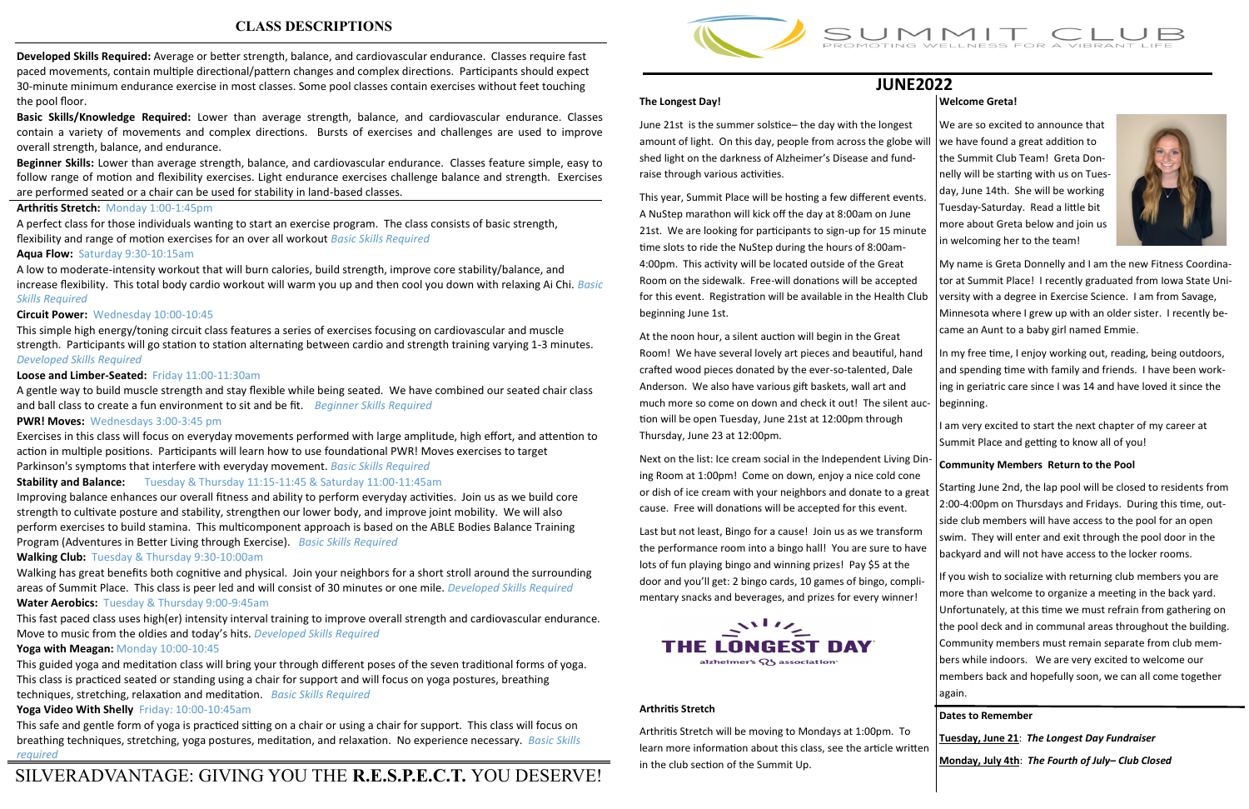**Developed Skills Required:** Average or better strength, balance, and cardiovascular endurance. Classes require fast paced movements, contain multiple directional/pattern changes and complex directions. Participants should expect 30-minute minimum endurance exercise in most classes. Some pool classes contain exercises without feet touching the pool floor.

**Basic Skills/Knowledge Required:** Lower than average strength, balance, and cardiovascular endurance. Classes contain a variety of movements and complex directions. Bursts of exercises and challenges are used to improve overall strength, balance, and endurance.

**Beginner Skills:** Lower than average strength, balance, and cardiovascular endurance. Classes feature simple, easy to follow range of motion and flexibility exercises. Light endurance exercises challenge balance and strength. Exercises are performed seated or a chair can be used for stability in land-based classes.

#### **Arthritis Stretch:** Monday 1:00-1:45pm

A perfect class for those individuals wanting to start an exercise program. The class consists of basic strength, flexibility and range of motion exercises for an over all workout *Basic Skills Required*

#### **Aqua Flow:** Saturday 9:30-10:15am

A low to moderate-intensity workout that will burn calories, build strength, improve core stability/balance, and increase flexibility. This total body cardio workout will warm you up and then cool you down with relaxing Ai Chi. *Basic Skills Required*

#### **Circuit Power:** Wednesday 10:00-10:45

This simple high energy/toning circuit class features a series of exercises focusing on cardiovascular and muscle strength. Participants will go station to station alternating between cardio and strength training varying 1-3 minutes. *Developed Skills Required*

#### **Loose and Limber-Seated:** Friday 11:00-11:30am

A gentle way to build muscle strength and stay flexible while being seated. We have combined our seated chair class and ball class to create a fun environment to sit and be fit. *Beginner Skills Required*

#### **PWR! Moves:** Wednesdays 3:00-3:45 pm

Exercises in this class will focus on everyday movements performed with large amplitude, high effort, and attention to action in multiple positions. Participants will learn how to use foundational PWR! Moves exercises to target Parkinson's symptoms that interfere with everyday movement. *Basic Skills Required*

This year, Summit Place will be hosting a few different event A NuStep marathon will kick off the day at 8:00am on June 21st. We are looking for participants to sign-up for 15 minut time slots to ride the NuStep during the hours of 8:00am-4:00pm. This activity will be located outside of the Great Room on the sidewalk. Free-will donations will be accepted for this event. Registration will be available in the Health Cl beginning June 1st.

#### **Stability and Balance:** Tuesday & Thursday 11:15-11:45 & Saturday 11:00-11:45am

Improving balance enhances our overall fitness and ability to perform everyday activities. Join us as we build core strength to cultivate posture and stability, strengthen our lower body, and improve joint mobility. We will also perform exercises to build stamina. This multicomponent approach is based on the ABLE Bodies Balance Training Program (Adventures in Better Living through Exercise). *Basic Skills Required*

Next on the list: Ice cream social in the Independent Living D ing Room at 1:00pm! Come on down, enjoy a nice cold cone or dish of ice cream with your neighbors and donate to a great cause. Free will donations will be accepted for this event.

#### **Walking Club:** Tuesday & Thursday 9:30-10:00am

Walking has great benefits both cognitive and physical. Join your neighbors for a short stroll around the surrounding areas of Summit Place. This class is peer led and will consist of 30 minutes or one mile. *Developed Skills Required*

#### **Water Aerobics:** Tuesday & Thursday 9:00-9:45am

This fast paced class uses high(er) intensity interval training to improve overall strength and cardiovascular endurance. Move to music from the oldies and today's hits. *Developed Skills Required*

#### **Yoga with Meagan:** Monday 10:00-10:45

This guided yoga and meditation class will bring your through different poses of the seven traditional forms of yoga. This class is practiced seated or standing using a chair for support and will focus on yoga postures, breathing techniques, stretching, relaxation and meditation. *Basic Skills Required*

### **Yoga Video With Shelly** Friday: 10:00-10:45am

This safe and gentle form of yoga is practiced sitting on a chair or using a chair for support. This class will focus on breathing techniques, stretching, yoga postures, meditation, and relaxation. No experience necessary. *Basic Skills required*

## **CLASS DESCRIPTIONS**

# SILVERADVANTAGE: GIVING YOU THE **R.E.S.P.E.C.T.** YOU DESERVE!



#### **The Longest Day!**

June 21st is the summer solstice– the day with the longest amount of light. On this day, people from across the globe  $\overline{y}$ shed light on the darkness of Alzheimer's Disease and fundraise through various activities.

At the noon hour, a silent auction will begin in the Great Room! We have several lovely art pieces and beautiful, han crafted wood pieces donated by the ever-so-talented, Dale Anderson. We also have various gift baskets, wall art and much more so come on down and check it out! The silent a tion will be open Tuesday, June 21st at 12:00pm through Thursday, June 23 at 12:00pm.

Last but not least, Bingo for a cause! Join us as we transform the performance room into a bingo hall! You are sure to have lots of fun playing bingo and winning prizes! Pay \$5 at the door and you'll get: 2 bingo cards, 10 games of bingo, complimentary snacks and beverages, and prizes for every winner!



#### **Arthritis Stretch**

Arthritis Stretch will be moving to Mondays at 1:00pm. To learn more information about this class, see the article writt in the club section of the Summit Up.

#### **Welcome Greta!**

| will<br>ts.<br>te   | We are so excited to announce that<br>we have found a great addition to<br>the Summit Club Team! Greta Don-<br>nelly will be starting with us on Tues-<br>day, June 14th. She will be working<br>Tuesday-Saturday. Read a little bit<br>more about Greta below and join us<br>in welcoming her to the team!                                                                                                                                          |  |  |  |  |  |  |  |
|---------------------|------------------------------------------------------------------------------------------------------------------------------------------------------------------------------------------------------------------------------------------------------------------------------------------------------------------------------------------------------------------------------------------------------------------------------------------------------|--|--|--|--|--|--|--|
| ub                  | My name is Greta Donnelly and I am the new Fitness Coordina-<br>tor at Summit Place! I recently graduated from Iowa State Uni-<br>versity with a degree in Exercise Science. I am from Savage,<br>Minnesota where I grew up with an older sister. I recently be-<br>came an Aunt to a baby girl named Emmie.                                                                                                                                         |  |  |  |  |  |  |  |
| d<br>uc-            | In my free time, I enjoy working out, reading, being outdoors,<br>and spending time with family and friends. I have been work-<br>ing in geriatric care since I was 14 and have loved it since the<br>beginning.                                                                                                                                                                                                                                     |  |  |  |  |  |  |  |
| )in-                | I am very excited to start the next chapter of my career at<br>Summit Place and getting to know all of you!                                                                                                                                                                                                                                                                                                                                          |  |  |  |  |  |  |  |
| e<br>eat<br>n<br>ve | <b>Community Members Return to the Pool</b><br>Starting June 2nd, the lap pool will be closed to residents from<br>2:00-4:00pm on Thursdays and Fridays. During this time, out-<br>side club members will have access to the pool for an open<br>swim. They will enter and exit through the pool door in the<br>backyard and will not have access to the locker rooms.                                                                               |  |  |  |  |  |  |  |
| li-                 | If you wish to socialize with returning club members you are<br>more than welcome to organize a meeting in the back yard.<br>Unfortunately, at this time we must refrain from gathering on<br>the pool deck and in communal areas throughout the building.<br>Community members must remain separate from club mem-<br>bers while indoors. We are very excited to welcome our<br>members back and hopefully soon, we can all come together<br>again. |  |  |  |  |  |  |  |
| :en                 | <b>Dates to Remember</b><br>Tuesday, June 21: The Longest Day Fundraiser<br>Monday, July 4th: The Fourth of July-Club Closed                                                                                                                                                                                                                                                                                                                         |  |  |  |  |  |  |  |

## **JUNE2022**